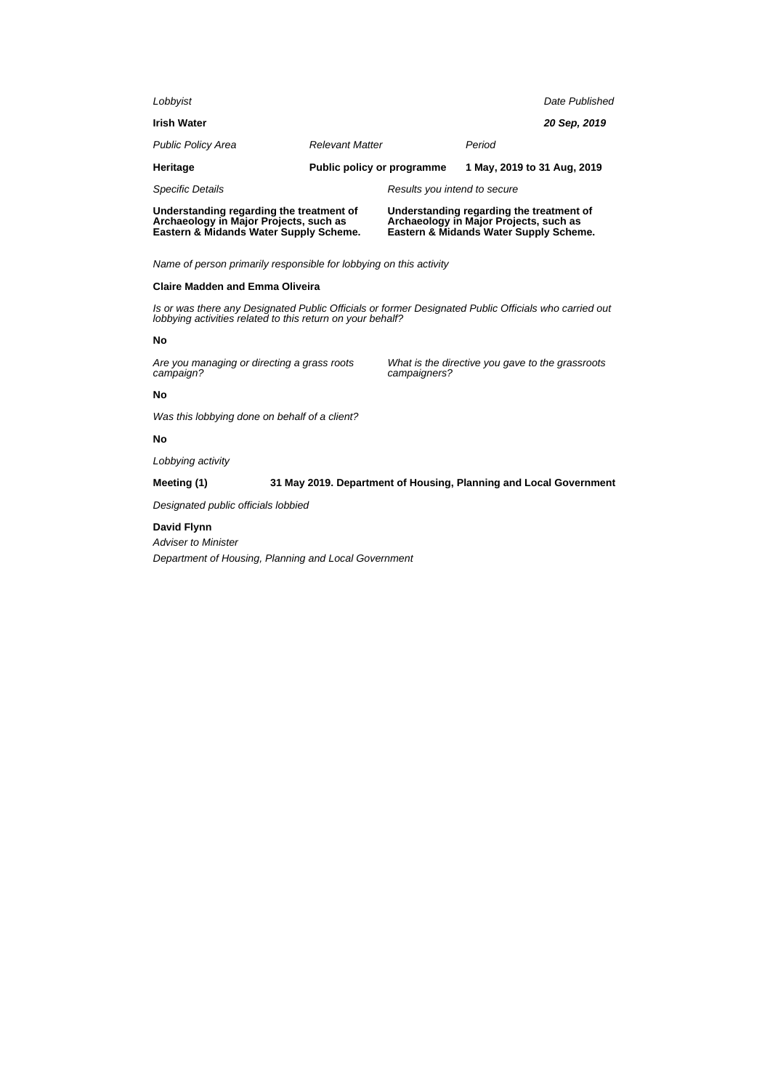| Understanding regarding the treatment of<br>Archaeology in Major Projects, such as<br>Eastern & Midands Water Supply Scheme. |                            | Understanding regarding the treatment of<br>Archaeology in Major Projects, such as<br>Eastern & Midands Water Supply Scheme. |                             |                |
|------------------------------------------------------------------------------------------------------------------------------|----------------------------|------------------------------------------------------------------------------------------------------------------------------|-----------------------------|----------------|
| <b>Specific Details</b>                                                                                                      |                            | Results you intend to secure                                                                                                 |                             |                |
| Heritage                                                                                                                     | Public policy or programme |                                                                                                                              | 1 May, 2019 to 31 Aug, 2019 |                |
| <b>Public Policy Area</b>                                                                                                    | <b>Relevant Matter</b>     |                                                                                                                              | Period                      |                |
| <b>Irish Water</b>                                                                                                           |                            |                                                                                                                              |                             | 20 Sep. 2019   |
| Lobbyist                                                                                                                     |                            |                                                                                                                              |                             | Date Published |

Name of person primarily responsible for lobbying on this activity

## **Claire Madden and Emma Oliveira**

Is or was there any Designated Public Officials or former Designated Public Officials who carried out lobbying activities related to this return on your behalf?

### **No**

Are you managing or directing a grass roots campaign?

What is the directive you gave to the grassroots campaigners?

### **No**

Was this lobbying done on behalf of a client?

## **No**

Lobbying activity

## **Meeting (1) 31 May 2019. Department of Housing, Planning and Local Government**

Designated public officials lobbied

### **David Flynn**

Adviser to Minister Department of Housing, Planning and Local Government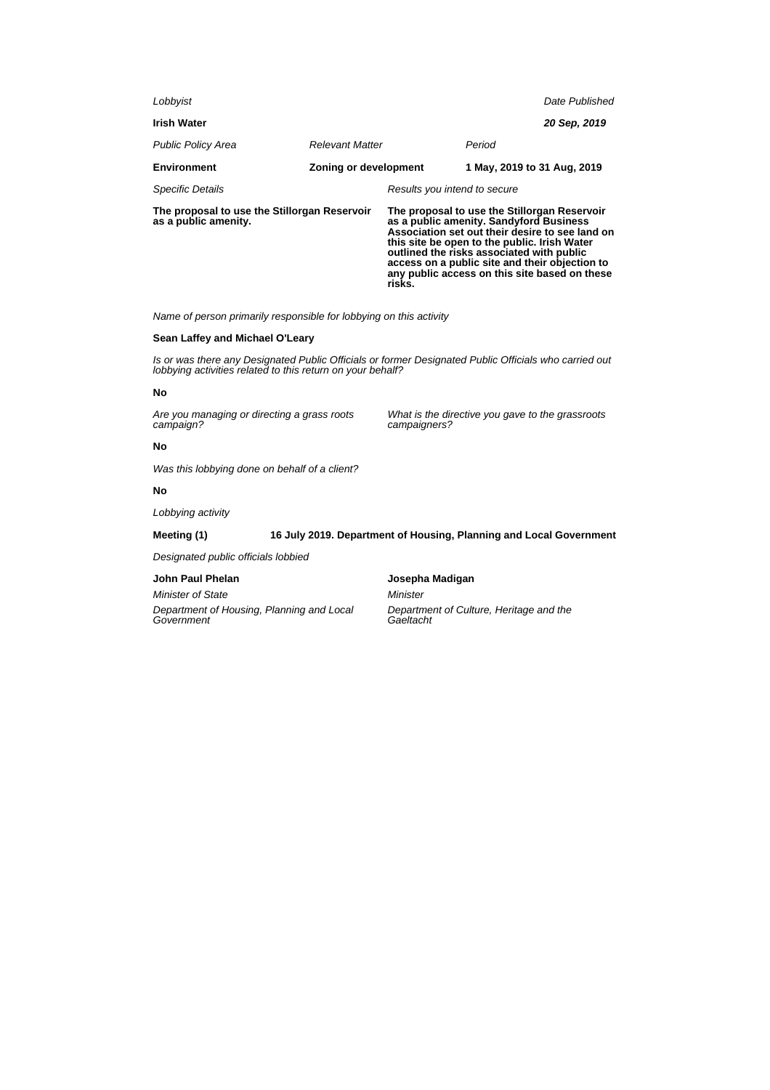| Lobbyist                                                             |                        |                                                                                                                                                                                                                                                                                                                                                      |                             | Date Published |
|----------------------------------------------------------------------|------------------------|------------------------------------------------------------------------------------------------------------------------------------------------------------------------------------------------------------------------------------------------------------------------------------------------------------------------------------------------------|-----------------------------|----------------|
| <b>Irish Water</b>                                                   |                        |                                                                                                                                                                                                                                                                                                                                                      |                             | 20 Sep, 2019   |
| <b>Public Policy Area</b>                                            | <b>Relevant Matter</b> |                                                                                                                                                                                                                                                                                                                                                      | Period                      |                |
| <b>Environment</b>                                                   | Zoning or development  |                                                                                                                                                                                                                                                                                                                                                      | 1 May, 2019 to 31 Aug, 2019 |                |
| <b>Specific Details</b>                                              |                        | Results you intend to secure                                                                                                                                                                                                                                                                                                                         |                             |                |
| The proposal to use the Stillorgan Reservoir<br>as a public amenity. |                        | The proposal to use the Stillorgan Reservoir<br>as a public amenity. Sandyford Business<br>Association set out their desire to see land on<br>this site be open to the public. Irish Water<br>outlined the risks associated with public<br>access on a public site and their objection to<br>any public access on this site based on these<br>risks. |                             |                |

Name of person primarily responsible for lobbying on this activity

## **Sean Laffey and Michael O'Leary**

Is or was there any Designated Public Officials or former Designated Public Officials who carried out lobbying activities related to this return on your behalf?

## **No**

Are you managing or directing a grass roots campaign?

What is the directive you gave to the grassroots campaigners?

## **No**

Was this lobbying done on behalf of a client?

## **No**

Lobbying activity

**Meeting (1) 16 July 2019. Department of Housing, Planning and Local Government**

Designated public officials lobbied

## **John Paul Phelan**

Minister of State Department of Housing, Planning and Local **Government** 

## **Josepha Madigan**

Minister Department of Culture, Heritage and the **Gaeltacht**